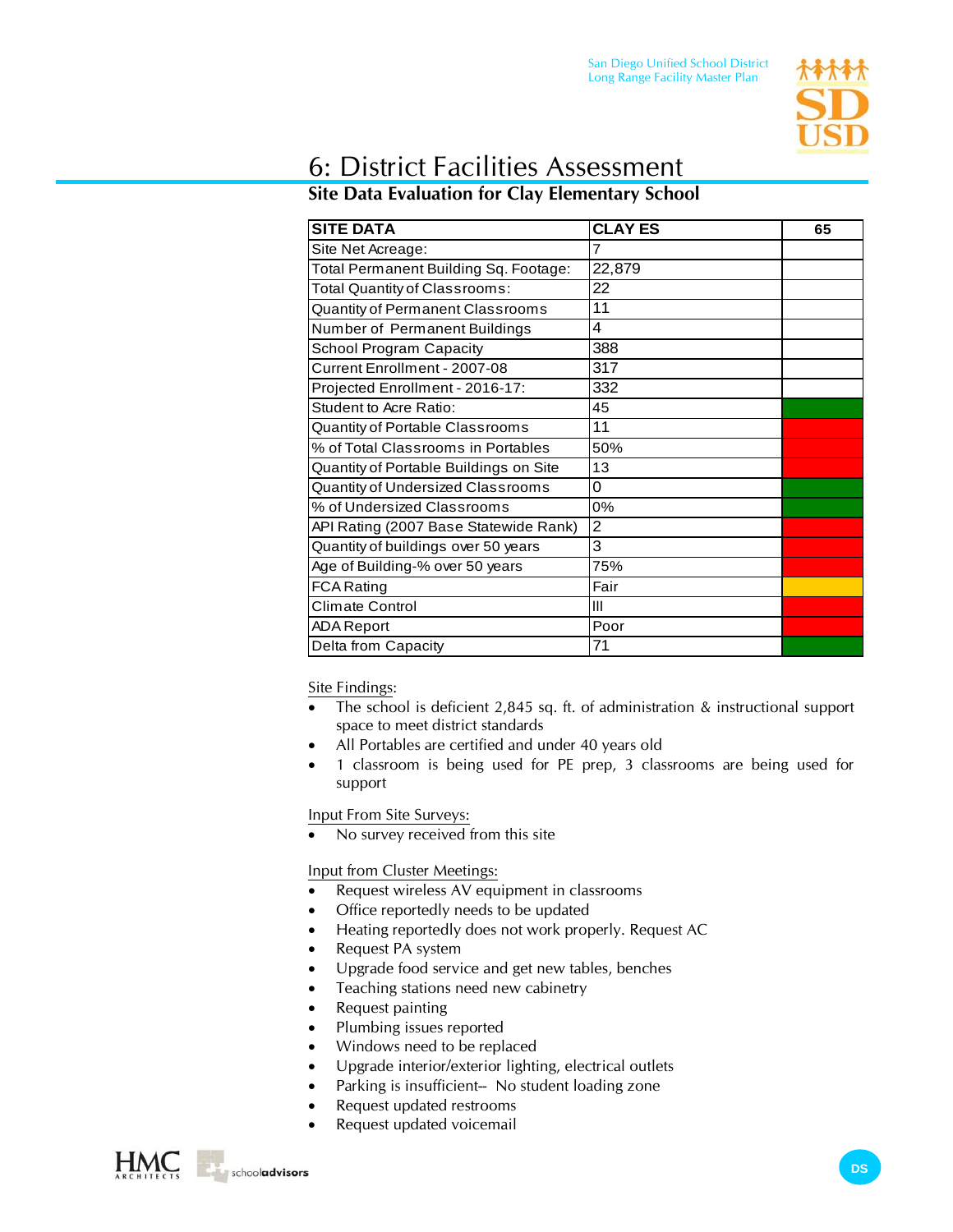

## 6: District Facilities Assessment

## **Site Data Evaluation for Clay Elementary School**

| <b>SITE DATA</b>                       | <b>CLAY ES</b> | 65 |
|----------------------------------------|----------------|----|
| Site Net Acreage:                      | 7              |    |
| Total Permanent Building Sq. Footage:  | 22,879         |    |
| Total Quantity of Classrooms:          | 22             |    |
| Quantity of Permanent Classrooms       | 11             |    |
| Number of Permanent Buildings          | 4              |    |
| School Program Capacity                | 388            |    |
| Current Enrollment - 2007-08           | 317            |    |
| Projected Enrollment - 2016-17:        | 332            |    |
| <b>Student to Acre Ratio:</b>          | 45             |    |
| Quantity of Portable Classrooms        | 11             |    |
| % of Total Classrooms in Portables     | 50%            |    |
| Quantity of Portable Buildings on Site | 13             |    |
| Quantity of Undersized Classrooms      | 0              |    |
| % of Undersized Classrooms             | 0%             |    |
| API Rating (2007 Base Statewide Rank)  | 2              |    |
| Quantity of buildings over 50 years    | 3              |    |
| Age of Building-% over 50 years        | 75%            |    |
| <b>FCA Rating</b>                      | Fair           |    |
| Climate Control                        | III            |    |
| <b>ADA Report</b>                      | Poor           |    |
| Delta from Capacity                    | 71             |    |

Site Findings:

- The school is deficient 2,845 sq. ft. of administration  $\&$  instructional support space to meet district standards
- All Portables are certified and under 40 years old
- 1 classroom is being used for PE prep, 3 classrooms are being used for support

Input From Site Surveys:

• No survey received from this site

Input from Cluster Meetings:

- Request wireless AV equipment in classrooms
- Office reportedly needs to be updated
- Heating reportedly does not work properly. Request AC
- Request PA system
- Upgrade food service and get new tables, benches
- Teaching stations need new cabinetry
- Request painting
- Plumbing issues reported
- Windows need to be replaced
- Upgrade interior/exterior lighting, electrical outlets
- Parking is insufficient-- No student loading zone
- Request updated restrooms
- Request updated voicemail